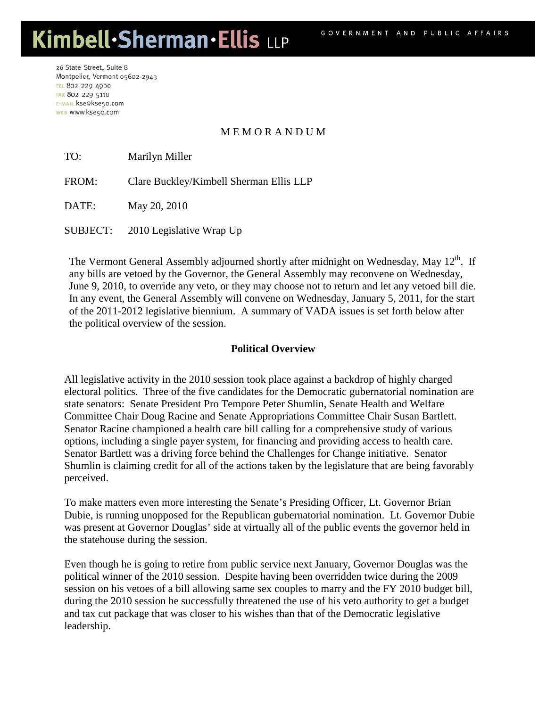26 State Street, Suite 8 Montpelier, Vermont 05602-2943 **TEL 802 229 4900** FAX 802 229 5110 E-MAIL kse@kse50.com WEB WWW.kse50.com

## M E M O R A N D U M

TO: Marilyn Miller

FROM: Clare Buckley/Kimbell Sherman Ellis LLP

DATE: May 20, 2010

SUBJECT: 2010 Legislative Wrap Up

The Vermont General Assembly adjourned shortly after midnight on Wednesday, May  $12^{th}$ . If any bills are vetoed by the Governor, the General Assembly may reconvene on Wednesday, June 9, 2010, to override any veto, or they may choose not to return and let any vetoed bill die. In any event, the General Assembly will convene on Wednesday, January 5, 2011, for the start of the 2011-2012 legislative biennium. A summary of VADA issues is set forth below after the political overview of the session.

#### **Political Overview**

All legislative activity in the 2010 session took place against a backdrop of highly charged electoral politics. Three of the five candidates for the Democratic gubernatorial nomination are state senators: Senate President Pro Tempore Peter Shumlin, Senate Health and Welfare Committee Chair Doug Racine and Senate Appropriations Committee Chair Susan Bartlett. Senator Racine championed a health care bill calling for a comprehensive study of various options, including a single payer system, for financing and providing access to health care. Senator Bartlett was a driving force behind the Challenges for Change initiative. Senator Shumlin is claiming credit for all of the actions taken by the legislature that are being favorably perceived.

To make matters even more interesting the Senate's Presiding Officer, Lt. Governor Brian Dubie, is running unopposed for the Republican gubernatorial nomination. Lt. Governor Dubie was present at Governor Douglas' side at virtually all of the public events the governor held in the statehouse during the session.

Even though he is going to retire from public service next January, Governor Douglas was the political winner of the 2010 session. Despite having been overridden twice during the 2009 session on his vetoes of a bill allowing same sex couples to marry and the FY 2010 budget bill, during the 2010 session he successfully threatened the use of his veto authority to get a budget and tax cut package that was closer to his wishes than that of the Democratic legislative leadership.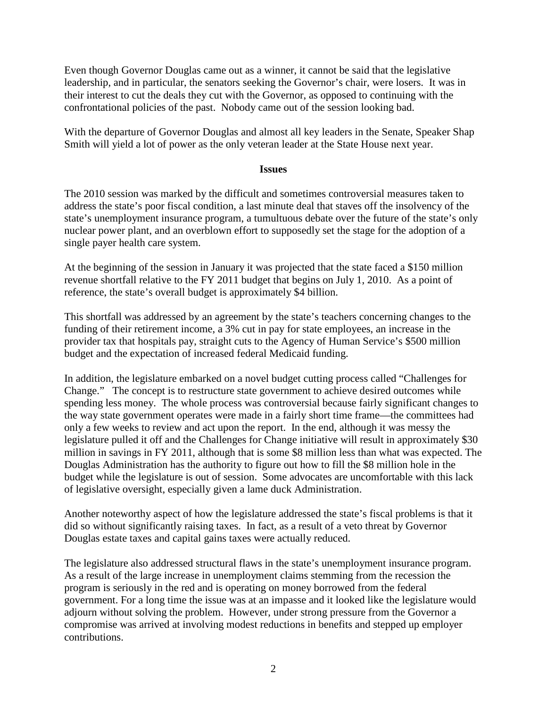Even though Governor Douglas came out as a winner, it cannot be said that the legislative leadership, and in particular, the senators seeking the Governor's chair, were losers. It was in their interest to cut the deals they cut with the Governor, as opposed to continuing with the confrontational policies of the past. Nobody came out of the session looking bad.

With the departure of Governor Douglas and almost all key leaders in the Senate, Speaker Shap Smith will yield a lot of power as the only veteran leader at the State House next year.

#### **Issues**

The 2010 session was marked by the difficult and sometimes controversial measures taken to address the state's poor fiscal condition, a last minute deal that staves off the insolvency of the state's unemployment insurance program, a tumultuous debate over the future of the state's only nuclear power plant, and an overblown effort to supposedly set the stage for the adoption of a single payer health care system.

At the beginning of the session in January it was projected that the state faced a \$150 million revenue shortfall relative to the FY 2011 budget that begins on July 1, 2010. As a point of reference, the state's overall budget is approximately \$4 billion.

This shortfall was addressed by an agreement by the state's teachers concerning changes to the funding of their retirement income, a 3% cut in pay for state employees, an increase in the provider tax that hospitals pay, straight cuts to the Agency of Human Service's \$500 million budget and the expectation of increased federal Medicaid funding.

In addition, the legislature embarked on a novel budget cutting process called "Challenges for Change." The concept is to restructure state government to achieve desired outcomes while spending less money. The whole process was controversial because fairly significant changes to the way state government operates were made in a fairly short time frame—the committees had only a few weeks to review and act upon the report. In the end, although it was messy the legislature pulled it off and the Challenges for Change initiative will result in approximately \$30 million in savings in FY 2011, although that is some \$8 million less than what was expected. The Douglas Administration has the authority to figure out how to fill the \$8 million hole in the budget while the legislature is out of session. Some advocates are uncomfortable with this lack of legislative oversight, especially given a lame duck Administration.

Another noteworthy aspect of how the legislature addressed the state's fiscal problems is that it did so without significantly raising taxes. In fact, as a result of a veto threat by Governor Douglas estate taxes and capital gains taxes were actually reduced.

The legislature also addressed structural flaws in the state's unemployment insurance program. As a result of the large increase in unemployment claims stemming from the recession the program is seriously in the red and is operating on money borrowed from the federal government. For a long time the issue was at an impasse and it looked like the legislature would adjourn without solving the problem. However, under strong pressure from the Governor a compromise was arrived at involving modest reductions in benefits and stepped up employer contributions.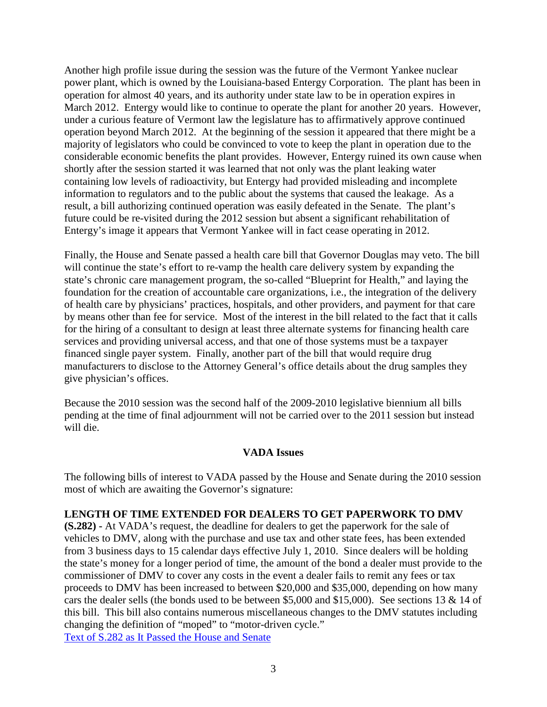Another high profile issue during the session was the future of the Vermont Yankee nuclear power plant, which is owned by the Louisiana-based Entergy Corporation. The plant has been in operation for almost 40 years, and its authority under state law to be in operation expires in March 2012. Entergy would like to continue to operate the plant for another 20 years. However, under a curious feature of Vermont law the legislature has to affirmatively approve continued operation beyond March 2012. At the beginning of the session it appeared that there might be a majority of legislators who could be convinced to vote to keep the plant in operation due to the considerable economic benefits the plant provides. However, Entergy ruined its own cause when shortly after the session started it was learned that not only was the plant leaking water containing low levels of radioactivity, but Entergy had provided misleading and incomplete information to regulators and to the public about the systems that caused the leakage. As a result, a bill authorizing continued operation was easily defeated in the Senate. The plant's future could be re-visited during the 2012 session but absent a significant rehabilitation of Entergy's image it appears that Vermont Yankee will in fact cease operating in 2012.

Finally, the House and Senate passed a health care bill that Governor Douglas may veto. The bill will continue the state's effort to re-vamp the health care delivery system by expanding the state's chronic care management program, the so-called "Blueprint for Health," and laying the foundation for the creation of accountable care organizations, i.e., the integration of the delivery of health care by physicians' practices, hospitals, and other providers, and payment for that care by means other than fee for service. Most of the interest in the bill related to the fact that it calls for the hiring of a consultant to design at least three alternate systems for financing health care services and providing universal access, and that one of those systems must be a taxpayer financed single payer system. Finally, another part of the bill that would require drug manufacturers to disclose to the Attorney General's office details about the drug samples they give physician's offices.

Because the 2010 session was the second half of the 2009-2010 legislative biennium all bills pending at the time of final adjournment will not be carried over to the 2011 session but instead will die.

### **VADA Issues**

The following bills of interest to VADA passed by the House and Senate during the 2010 session most of which are awaiting the Governor's signature:

### **LENGTH OF TIME EXTENDED FOR DEALERS TO GET PAPERWORK TO DMV**

**(S.282) -** At VADA's request, the deadline for dealers to get the paperwork for the sale of vehicles to DMV, along with the purchase and use tax and other state fees, has been extended from 3 business days to 15 calendar days effective July 1, 2010. Since dealers will be holding the state's money for a longer period of time, the amount of the bond a dealer must provide to the commissioner of DMV to cover any costs in the event a dealer fails to remit any fees or tax proceeds to DMV has been increased to between \$20,000 and \$35,000, depending on how many cars the dealer sells (the bonds used to be between \$5,000 and \$15,000). See sections 13 & 14 of this bill. This bill also contains numerous miscellaneous changes to the DMV statutes including changing the definition of "moped" to "motor-driven cycle." [Text of S.282 as It Passed the House and Senate](http://www.leg.state.vt.us/docs/2010/bills/Passed/S-282.pdf)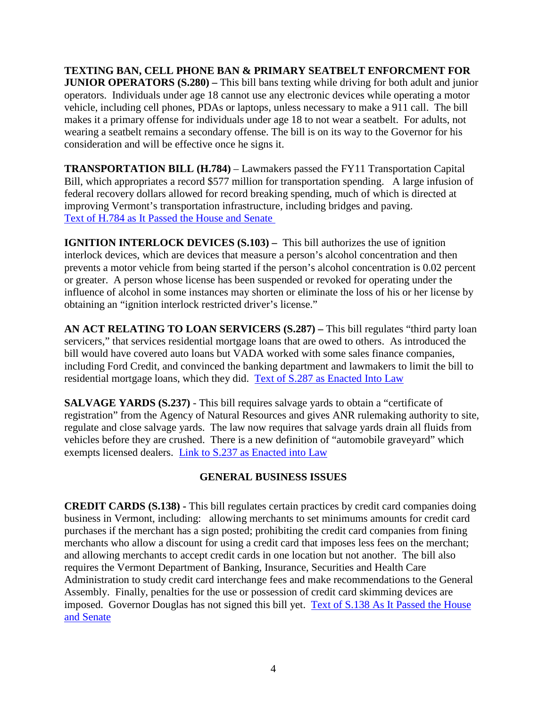**TEXTING BAN, CELL PHONE BAN & PRIMARY SEATBELT ENFORCMENT FOR JUNIOR OPERATORS (S.280) –** This bill bans texting while driving for both adult and junior operators. Individuals under age 18 cannot use any electronic devices while operating a motor vehicle, including cell phones, PDAs or laptops, unless necessary to make a 911 call. The bill makes it a primary offense for individuals under age 18 to not wear a seatbelt. For adults, not wearing a seatbelt remains a secondary offense. The bill is on its way to the Governor for his consideration and will be effective once he signs it.

**TRANSPORTATION BILL (H.784)** – Lawmakers passed the FY11 Transportation Capital Bill, which appropriates a record \$577 million for transportation spending. A large infusion of federal recovery dollars allowed for record breaking spending, much of which is directed at improving Vermont's transportation infrastructure, including bridges and paving. [Text of H.784 as It Passed the House](http://www.leg.state.vt.us/docs/2010/bills/Passed/H-784.pdf) and Senate

**IGNITION INTERLOCK DEVICES (S.103) – This bill authorizes the use of ignition** interlock devices, which are devices that measure a person's alcohol concentration and then prevents a motor vehicle from being started if the person's alcohol concentration is 0.02 percent or greater. A person whose license has been suspended or revoked for operating under the influence of alcohol in some instances may shorten or eliminate the loss of his or her license by obtaining an "ignition interlock restricted driver's license."

**AN ACT RELATING TO LOAN SERVICERS (S.287) –** This bill regulates "third party loan servicers," that services residential mortgage loans that are owed to others. As introduced the bill would have covered auto loans but VADA worked with some sales finance companies, including Ford Credit, and convinced the banking department and lawmakers to limit the bill to residential mortgage loans, which they did. [Text of S.287 as Enacted Into Law](http://www.leg.state.vt.us/docs/2010/Acts/ACT096.pdf)

**SALVAGE YARDS (S.237)** - This bill requires salvage yards to obtain a "certificate of registration" from the Agency of Natural Resources and gives ANR rulemaking authority to site, regulate and close salvage yards. The law now requires that salvage yards drain all fluids from vehicles before they are crushed. There is a new definition of "automobile graveyard" which exempts licensed dealers. [Link to S.237 as Enacted into Law](http://www.leg.state.vt.us/docs/2010/Acts/ACT093.pdf)

## **GENERAL BUSINESS ISSUES**

**CREDIT CARDS (S.138) -** This bill regulates certain practices by credit card companies doing business in Vermont, including: allowing merchants to set minimums amounts for credit card purchases if the merchant has a sign posted; prohibiting the credit card companies from fining merchants who allow a discount for using a credit card that imposes less fees on the merchant; and allowing merchants to accept credit cards in one location but not another. The bill also requires the Vermont Department of Banking, Insurance, Securities and Health Care Administration to study credit card interchange fees and make recommendations to the General Assembly. Finally, penalties for the use or possession of credit card skimming devices are imposed. Governor Douglas has not signed this bill yet. [Text of S.138 As It Passed the House](http://www.leg.state.vt.us/docs/2010/bills/Passed/S-138.pdf)  [and Senate](http://www.leg.state.vt.us/docs/2010/bills/Passed/S-138.pdf)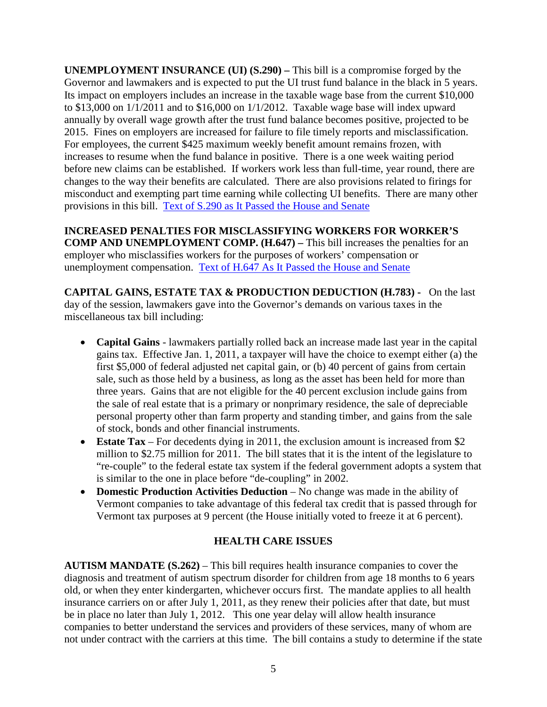**UNEMPLOYMENT INSURANCE (UI) (S.290) –** This bill is a compromise forged by the Governor and lawmakers and is expected to put the UI trust fund balance in the black in 5 years. Its impact on employers includes an increase in the taxable wage base from the current \$10,000 to \$13,000 on 1/1/2011 and to \$16,000 on 1/1/2012. Taxable wage base will index upward annually by overall wage growth after the trust fund balance becomes positive, projected to be 2015. Fines on employers are increased for failure to file timely reports and misclassification. For employees, the current \$425 maximum weekly benefit amount remains frozen, with increases to resume when the fund balance in positive. There is a one week waiting period before new claims can be established. If workers work less than full-time, year round, there are changes to the way their benefits are calculated. There are also provisions related to firings for misconduct and exempting part time earning while collecting UI benefits. There are many other provisions in this bill. [Text of S.290 as It Passed the House and Senate](http://www.leg.state.vt.us/docs/2010/bills/Passed/S-290.pdf)

**INCREASED PENALTIES FOR MISCLASSIFYING WORKERS FOR WORKER'S COMP AND UNEMPLOYMENT COMP. (H.647) –** This bill increases the penalties for an employer who misclassifies workers for the purposes of workers' compensation or unemployment compensation. [Text of H.647 As It Passed the House and Senate](http://www.leg.state.vt.us/docs/2010/bills/Passed/H-647.pdf)

**CAPITAL GAINS, ESTATE TAX & PRODUCTION DEDUCTION (H.783) -** On the last day of the session, lawmakers gave into the Governor's demands on various taxes in the miscellaneous tax bill including:

- **Capital Gains** lawmakers partially rolled back an increase made last year in the capital gains tax. Effective Jan. 1, 2011, a taxpayer will have the choice to exempt either (a) the first \$5,000 of federal adjusted net capital gain, or (b) 40 percent of gains from certain sale, such as those held by a business, as long as the asset has been held for more than three years. Gains that are not eligible for the 40 percent exclusion include gains from the sale of real estate that is a primary or nonprimary residence, the sale of depreciable personal property other than farm property and standing timber, and gains from the sale of stock, bonds and other financial instruments.
- **Estate Tax** For decedents dying in 2011, the exclusion amount is increased from \$2 million to \$2.75 million for 2011. The bill states that it is the intent of the legislature to "re-couple" to the federal estate tax system if the federal government adopts a system that is similar to the one in place before "de-coupling" in 2002.
- **Domestic Production Activities Deduction** No change was made in the ability of Vermont companies to take advantage of this federal tax credit that is passed through for Vermont tax purposes at 9 percent (the House initially voted to freeze it at 6 percent).

# **HEALTH CARE ISSUES**

**AUTISM MANDATE (S.262)** – This bill requires health insurance companies to cover the diagnosis and treatment of autism spectrum disorder for children from age 18 months to 6 years old, or when they enter kindergarten, whichever occurs first. The mandate applies to all health insurance carriers on or after July 1, 2011, as they renew their policies after that date, but must be in place no later than July 1, 2012. This one year delay will allow health insurance companies to better understand the services and providers of these services, many of whom are not under contract with the carriers at this time. The bill contains a study to determine if the state